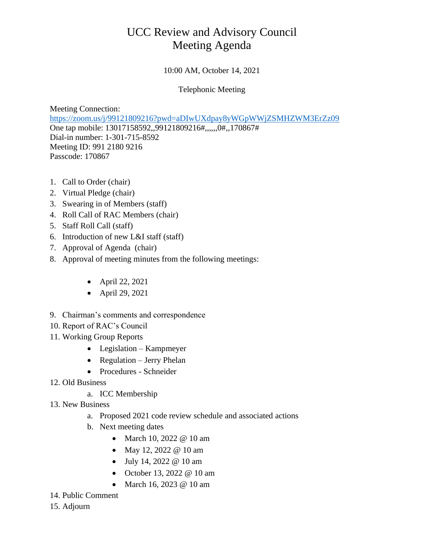## UCC Review and Advisory Council Meeting Agenda

## 10:00 AM, October 14, 2021

## Telephonic Meeting

Meeting Connection: [https://zoom.us/j/99121809216?pwd=aDIwUXdpay8yWGpWWjZSMHZWM3ErZz09](https://gcc01.safelinks.protection.outlook.com/?url=https%3A%2F%2Fzoom.us%2Fj%2F99121809216%3Fpwd%3DaDIwUXdpay8yWGpWWjZSMHZWM3ErZz09&data=04%7C01%7Ckrgardner%40pa.gov%7Ce1e04432a29b484ba6b508d87a98d9ee%7C418e284101284dd59b6c47fc5a9a1bde%7C0%7C0%7C637394144947726506%7CUnknown%7CTWFpbGZsb3d8eyJWIjoiMC4wLjAwMDAiLCJQIjoiV2luMzIiLCJBTiI6Ik1haWwiLCJXVCI6Mn0%3D%7C0&sdata=xwNC7Fs5XizRLVccy06tAjyY4SRQ7zaIJjDhyQzE0LA%3D&reserved=0) One tap mobile: 13017158592,,99121809216#,,,,,,0#,,170867# Dial-in number: 1-301-715-8592 Meeting ID: 991 2180 9216 Passcode: 170867

- 1. Call to Order (chair)
- 2. Virtual Pledge (chair)
- 3. Swearing in of Members (staff)
- 4. Roll Call of RAC Members (chair)
- 5. Staff Roll Call (staff)
- 6. Introduction of new L&I staff (staff)
- 7. Approval of Agenda (chair)
- 8. Approval of meeting minutes from the following meetings:
	- April 22, 2021
	- April 29, 2021
- 9. Chairman's comments and correspondence
- 10. Report of RAC's Council
- 11. Working Group Reports
	- Legislation Kampmeyer
	- Regulation Jerry Phelan
	- Procedures Schneider
- 12. Old Business
	- a. ICC Membership
- 13. New Business
	- a. Proposed 2021 code review schedule and associated actions
	- b. Next meeting dates
		- March 10, 2022 @ 10 am
		- May 12, 2022 @ 10 am
		- July 14, 2022 @ 10 am
		- October 13, 2022 @ 10 am
		- March 16, 2023 @ 10 am
- 14. Public Comment
- 15. Adjourn